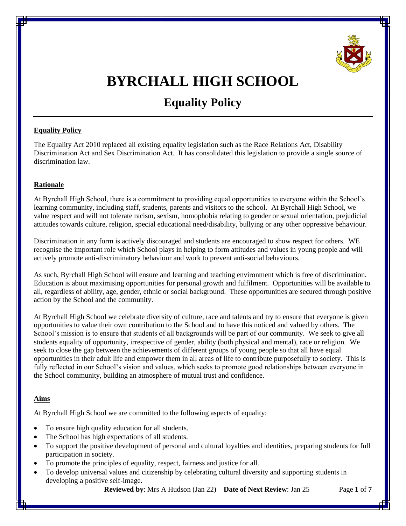

# **BYRCHALL HIGH SCHOOL**

# **Equality Policy**

### **Equality Policy**

The Equality Act 2010 replaced all existing equality legislation such as the Race Relations Act, Disability Discrimination Act and Sex Discrimination Act. It has consolidated this legislation to provide a single source of discrimination law.

# **Rationale**

At Byrchall High School, there is a commitment to providing equal opportunities to everyone within the School's learning community, including staff, students, parents and visitors to the school. At Byrchall High School, we value respect and will not tolerate racism, sexism, homophobia relating to gender or sexual orientation, prejudicial attitudes towards culture, religion, special educational need/disability, bullying or any other oppressive behaviour.

Discrimination in any form is actively discouraged and students are encouraged to show respect for others. WE recognise the important role which School plays in helping to form attitudes and values in young people and will actively promote anti-discriminatory behaviour and work to prevent anti-social behaviours.

As such, Byrchall High School will ensure and learning and teaching environment which is free of discrimination. Education is about maximising opportunities for personal growth and fulfilment. Opportunities will be available to all, regardless of ability, age, gender, ethnic or social background. These opportunities are secured through positive action by the School and the community.

At Byrchall High School we celebrate diversity of culture, race and talents and try to ensure that everyone is given opportunities to value their own contribution to the School and to have this noticed and valued by others. The School's mission is to ensure that students of all backgrounds will be part of our community. We seek to give all students equality of opportunity, irrespective of gender, ability (both physical and mental), race or religion. We seek to close the gap between the achievements of different groups of young people so that all have equal opportunities in their adult life and empower them in all areas of life to contribute purposefully to society. This is fully reflected in our School's vision and values, which seeks to promote good relationships between everyone in the School community, building an atmosphere of mutual trust and confidence.

# **Aims**

At Byrchall High School we are committed to the following aspects of equality:

- To ensure high quality education for all students.
- The School has high expectations of all students.
- To support the positive development of personal and cultural loyalties and identities, preparing students for full participation in society.
- To promote the principles of equality, respect, fairness and justice for all.
- To develop universal values and citizenship by celebrating cultural diversity and supporting students in developing a positive self-image.

**Reviewed by**: Mrs A Hudson (Jan 22) **Date of Next Review**: Jan 25 Page **1** of **7**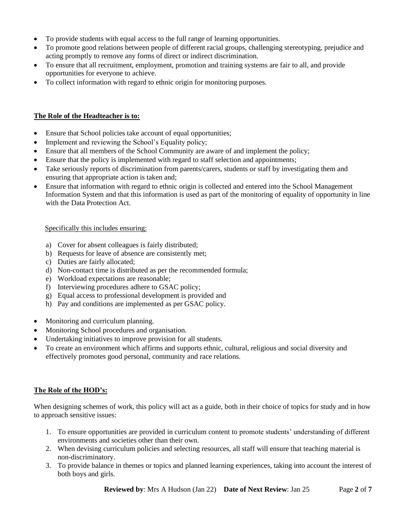- To provide students with equal access to the full range of learning opportunities.
- To promote good relations between people of different racial groups, challenging stereotyping, prejudice and acting promptly to remove any forms of direct or indirect discrimination.
- To ensure that all recruitment, employment, promotion and training systems are fair to all, and provide opportunities for everyone to achieve.
- To collect information with regard to ethnic origin for monitoring purposes.

### **The Role of the Headteacher is to:**

- Ensure that School policies take account of equal opportunities;
- Implement and reviewing the School's Equality policy;
- Ensure that all members of the School Community are aware of and implement the policy;
- Ensure that the policy is implemented with regard to staff selection and appointments;
- Take seriously reports of discrimination from parents/carers, students or staff by investigating them and ensuring that appropriate action is taken and;
- Ensure that information with regard to ethnic origin is collected and entered into the School Management Information System and that this information is used as part of the monitoring of equality of opportunity in line with the Data Protection Act.

#### Specifically this includes ensuring:

- a) Cover for absent colleagues is fairly distributed;
- b) Requests for leave of absence are consistently met;
- c) Duties are fairly allocated;
- d) Non-contact time is distributed as per the recommended formula;
- e) Workload expectations are reasonable;
- f) Interviewing procedures adhere to GSAC policy;
- g) Equal access to professional development is provided and
- h) Pay and conditions are implemented as per GSAC policy.
- Monitoring and curriculum planning.
- Monitoring School procedures and organisation.
- Undertaking initiatives to improve provision for all students.
- To create an environment which affirms and supports ethnic, cultural, religious and social diversity and effectively promotes good personal, community and race relations.

### **The Role of the HOD's:**

When designing schemes of work, this policy will act as a guide, both in their choice of topics for study and in how to approach sensitive issues:

- 1. To ensure opportunities are provided in curriculum content to promote students' understanding of different environments and societies other than their own.
- 2. When devising curriculum policies and selecting resources, all staff will ensure that teaching material is non-discriminatory.
- 3. To provide balance in themes or topics and planned learning experiences, taking into account the interest of both boys and girls.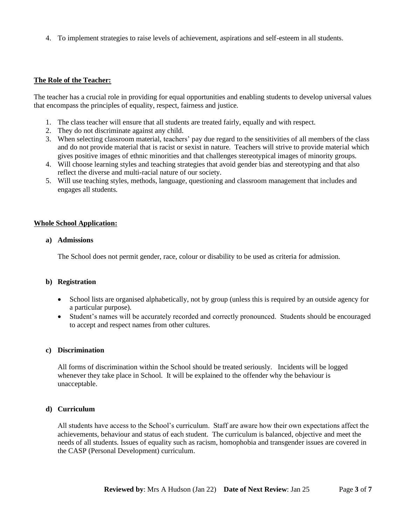4. To implement strategies to raise levels of achievement, aspirations and self-esteem in all students.

#### **The Role of the Teacher:**

The teacher has a crucial role in providing for equal opportunities and enabling students to develop universal values that encompass the principles of equality, respect, fairness and justice.

- 1. The class teacher will ensure that all students are treated fairly, equally and with respect.
- 2. They do not discriminate against any child.
- 3. When selecting classroom material, teachers' pay due regard to the sensitivities of all members of the class and do not provide material that is racist or sexist in nature. Teachers will strive to provide material which gives positive images of ethnic minorities and that challenges stereotypical images of minority groups.
- 4. Will choose learning styles and teaching strategies that avoid gender bias and stereotyping and that also reflect the diverse and multi-racial nature of our society.
- 5. Will use teaching styles, methods, language, questioning and classroom management that includes and engages all students.

#### **Whole School Application:**

#### **a) Admissions**

The School does not permit gender, race, colour or disability to be used as criteria for admission.

#### **b) Registration**

- School lists are organised alphabetically, not by group (unless this is required by an outside agency for a particular purpose).
- Student's names will be accurately recorded and correctly pronounced. Students should be encouraged to accept and respect names from other cultures.

#### **c) Discrimination**

All forms of discrimination within the School should be treated seriously. Incidents will be logged whenever they take place in School. It will be explained to the offender why the behaviour is unacceptable.

#### **d) Curriculum**

All students have access to the School's curriculum. Staff are aware how their own expectations affect the achievements, behaviour and status of each student. The curriculum is balanced, objective and meet the needs of all students. Issues of equality such as racism, homophobia and transgender issues are covered in the CASP (Personal Development) curriculum.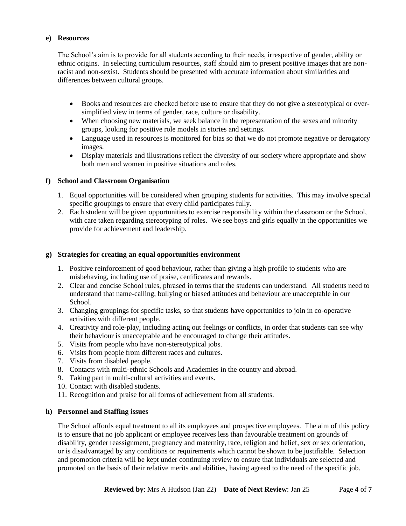### **e) Resources**

The School's aim is to provide for all students according to their needs, irrespective of gender, ability or ethnic origins. In selecting curriculum resources, staff should aim to present positive images that are nonracist and non-sexist. Students should be presented with accurate information about similarities and differences between cultural groups.

- Books and resources are checked before use to ensure that they do not give a stereotypical or oversimplified view in terms of gender, race, culture or disability.
- When choosing new materials, we seek balance in the representation of the sexes and minority groups, looking for positive role models in stories and settings.
- Language used in resources is monitored for bias so that we do not promote negative or derogatory images.
- Display materials and illustrations reflect the diversity of our society where appropriate and show both men and women in positive situations and roles.

# **f) School and Classroom Organisation**

- 1. Equal opportunities will be considered when grouping students for activities. This may involve special specific groupings to ensure that every child participates fully.
- 2. Each student will be given opportunities to exercise responsibility within the classroom or the School, with care taken regarding stereotyping of roles. We see boys and girls equally in the opportunities we provide for achievement and leadership.

### **g) Strategies for creating an equal opportunities environment**

- 1. Positive reinforcement of good behaviour, rather than giving a high profile to students who are misbehaving, including use of praise, certificates and rewards.
- 2. Clear and concise School rules, phrased in terms that the students can understand. All students need to understand that name-calling, bullying or biased attitudes and behaviour are unacceptable in our School.
- 3. Changing groupings for specific tasks, so that students have opportunities to join in co-operative activities with different people.
- 4. Creativity and role-play, including acting out feelings or conflicts, in order that students can see why their behaviour is unacceptable and be encouraged to change their attitudes.
- 5. Visits from people who have non-stereotypical jobs.
- 6. Visits from people from different races and cultures.
- 7. Visits from disabled people.
- 8. Contacts with multi-ethnic Schools and Academies in the country and abroad.
- 9. Taking part in multi-cultural activities and events.
- 10. Contact with disabled students.
- 11. Recognition and praise for all forms of achievement from all students.

### **h) Personnel and Staffing issues**

The School affords equal treatment to all its employees and prospective employees. The aim of this policy is to ensure that no job applicant or employee receives less than favourable treatment on grounds of disability, gender reassignment, pregnancy and maternity, race, religion and belief, sex or sex orientation, or is disadvantaged by any conditions or requirements which cannot be shown to be justifiable. Selection and promotion criteria will be kept under continuing review to ensure that individuals are selected and promoted on the basis of their relative merits and abilities, having agreed to the need of the specific job.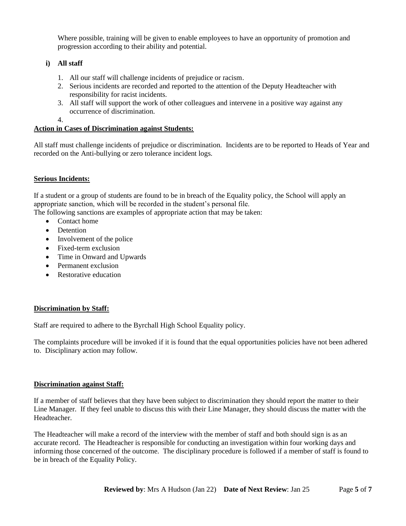Where possible, training will be given to enable employees to have an opportunity of promotion and progression according to their ability and potential.

# **i) All staff**

- 1. All our staff will challenge incidents of prejudice or racism.
- 2. Serious incidents are recorded and reported to the attention of the Deputy Headteacher with responsibility for racist incidents.
- 3. All staff will support the work of other colleagues and intervene in a positive way against any occurrence of discrimination.
- 4.

### **Action in Cases of Discrimination against Students:**

All staff must challenge incidents of prejudice or discrimination. Incidents are to be reported to Heads of Year and recorded on the Anti-bullying or zero tolerance incident logs.

# **Serious Incidents:**

If a student or a group of students are found to be in breach of the Equality policy, the School will apply an appropriate sanction, which will be recorded in the student's personal file.

The following sanctions are examples of appropriate action that may be taken:

- Contact home
- **Detention**
- Involvement of the police
- Fixed-term exclusion
- Time in Onward and Upwards
- Permanent exclusion
- Restorative education

### **Discrimination by Staff:**

Staff are required to adhere to the Byrchall High School Equality policy.

The complaints procedure will be invoked if it is found that the equal opportunities policies have not been adhered to. Disciplinary action may follow.

### **Discrimination against Staff:**

If a member of staff believes that they have been subject to discrimination they should report the matter to their Line Manager. If they feel unable to discuss this with their Line Manager, they should discuss the matter with the Headteacher.

The Headteacher will make a record of the interview with the member of staff and both should sign is as an accurate record. The Headteacher is responsible for conducting an investigation within four working days and informing those concerned of the outcome. The disciplinary procedure is followed if a member of staff is found to be in breach of the Equality Policy.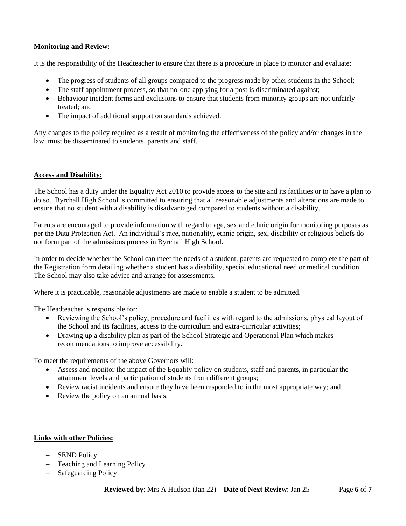### **Monitoring and Review:**

It is the responsibility of the Headteacher to ensure that there is a procedure in place to monitor and evaluate:

- The progress of students of all groups compared to the progress made by other students in the School;
- The staff appointment process, so that no-one applying for a post is discriminated against;
- Behaviour incident forms and exclusions to ensure that students from minority groups are not unfairly treated; and
- The impact of additional support on standards achieved.

Any changes to the policy required as a result of monitoring the effectiveness of the policy and/or changes in the law, must be disseminated to students, parents and staff.

### **Access and Disability:**

The School has a duty under the Equality Act 2010 to provide access to the site and its facilities or to have a plan to do so. Byrchall High School is committed to ensuring that all reasonable adjustments and alterations are made to ensure that no student with a disability is disadvantaged compared to students without a disability.

Parents are encouraged to provide information with regard to age, sex and ethnic origin for monitoring purposes as per the Data Protection Act. An individual's race, nationality, ethnic origin, sex, disability or religious beliefs do not form part of the admissions process in Byrchall High School.

In order to decide whether the School can meet the needs of a student, parents are requested to complete the part of the Registration form detailing whether a student has a disability, special educational need or medical condition. The School may also take advice and arrange for assessments.

Where it is practicable, reasonable adjustments are made to enable a student to be admitted.

The Headteacher is responsible for:

- Reviewing the School's policy, procedure and facilities with regard to the admissions, physical layout of the School and its facilities, access to the curriculum and extra-curricular activities;
- Drawing up a disability plan as part of the School Strategic and Operational Plan which makes recommendations to improve accessibility.

To meet the requirements of the above Governors will:

- Assess and monitor the impact of the Equality policy on students, staff and parents, in particular the attainment levels and participation of students from different groups;
- Review racist incidents and ensure they have been responded to in the most appropriate way; and
- Review the policy on an annual basis.

### **Links with other Policies:**

- SEND Policy
- Teaching and Learning Policy
- Safeguarding Policy